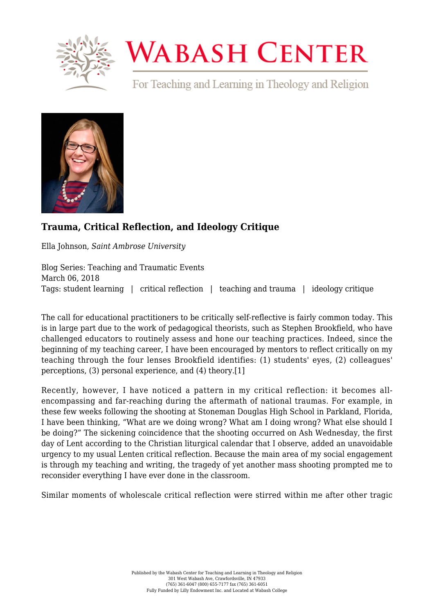

## **WABASH CENTER**

For Teaching and Learning in Theology and Religion



## **[Trauma, Critical Reflection, and Ideology Critique](https://www.wabashcenter.wabash.edu/2018/03/trauma-critical-reflection-ideology-critique/)**

Ella Johnson, *Saint Ambrose University*

Blog Series: Teaching and Traumatic Events March 06, 2018 Tags: student learning | critical reflection | teaching and trauma | ideology critique

The call for educational practitioners to be critically self-reflective is fairly common today. This is in large part due to the work of pedagogical theorists, such as Stephen Brookfield, who have challenged educators to routinely assess and hone our teaching practices. Indeed, since the beginning of my teaching career, I have been encouraged by mentors to reflect critically on my teaching through the four lenses Brookfield identifies: (1) students' eyes, (2) colleagues' perceptions, (3) personal experience, and (4) theory.[\[1\]](#page-2-0)

<span id="page-0-0"></span>Recently, however, I have noticed a pattern in my critical reflection: it becomes allencompassing and far-reaching during the aftermath of national traumas. For example, in these few weeks following the shooting at Stoneman Douglas High School in Parkland, Florida, I have been thinking, "What are we doing wrong? What am I doing wrong? What else should I be doing?" The sickening coincidence that the shooting occurred on Ash Wednesday, the first day of Lent according to the Christian liturgical calendar that I observe, added an unavoidable urgency to my usual Lenten critical reflection. Because the main area of my social engagement is through my teaching and writing, the tragedy of yet another mass shooting prompted me to reconsider everything I have ever done in the classroom.

Similar moments of wholescale critical reflection were stirred within me after other tragic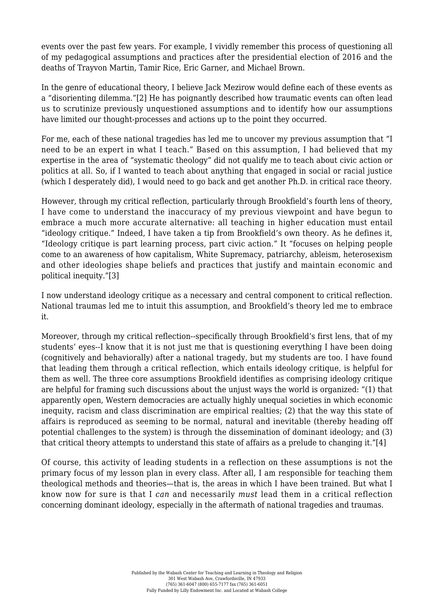events over the past few years. For example, I vividly remember this process of questioning all of my pedagogical assumptions and practices after the presidential election of 2016 and the deaths of Trayvon Martin, Tamir Rice, Eric Garner, and Michael Brown.

<span id="page-1-0"></span>In the genre of educational theory, I believe Jack Mezirow would define each of these events as a "disorienting dilemma.["\[2\]](#page-2-1) He has poignantly described how traumatic events can often lead us to scrutinize previously unquestioned assumptions and to identify how our assumptions have limited our thought-processes and actions up to the point they occurred.

For me, each of these national tragedies has led me to uncover my previous assumption that "I need to be an expert in what I teach." Based on this assumption, I had believed that my expertise in the area of "systematic theology" did not qualify me to teach about civic action or politics at all. So, if I wanted to teach about anything that engaged in social or racial justice (which I desperately did), I would need to go back and get another Ph.D. in critical race theory.

However, through my critical reflection, particularly through Brookfield's fourth lens of theory, I have come to understand the inaccuracy of my previous viewpoint and have begun to embrace a much more accurate alternative: all teaching in higher education must entail "ideology critique." Indeed, I have taken a tip from Brookfield's own theory. As he defines it, "Ideology critique is part learning process, part civic action." It "focuses on helping people come to an awareness of how capitalism, White Supremacy, patriarchy, ableism, heterosexism and other ideologies shape beliefs and practices that justify and maintain economic and political inequity.["\[3\]](#page-2-2)

<span id="page-1-1"></span>I now understand ideology critique as a necessary and central component to critical reflection. National traumas led me to intuit this assumption, and Brookfield's theory led me to embrace it.

Moreover, through my critical reflection--specifically through Brookfield's first lens, that of my students' eyes--I know that it is not just me that is questioning everything I have been doing (cognitively and behaviorally) after a national tragedy, but my students are too. I have found that leading them through a critical reflection, which entails ideology critique, is helpful for them as well. The three core assumptions Brookfield identifies as comprising ideology critique are helpful for framing such discussions about the unjust ways the world is organized: "(1) that apparently open, Western democracies are actually highly unequal societies in which economic inequity, racism and class discrimination are empirical realties; (2) that the way this state of affairs is reproduced as seeming to be normal, natural and inevitable (thereby heading off potential challenges to the system) is through the dissemination of dominant ideology; and (3) that critical theory attempts to understand this state of affairs as a prelude to changing it."[\[4\]](#page-2-3)

<span id="page-1-2"></span>Of course, this activity of leading students in a reflection on these assumptions is not the primary focus of my lesson plan in every class. After all, I am responsible for teaching them theological methods and theories—that is, the areas in which I have been trained. But what I know now for sure is that I *can* and necessarily *must* lead them in a critical reflection concerning dominant ideology, especially in the aftermath of national tragedies and traumas.